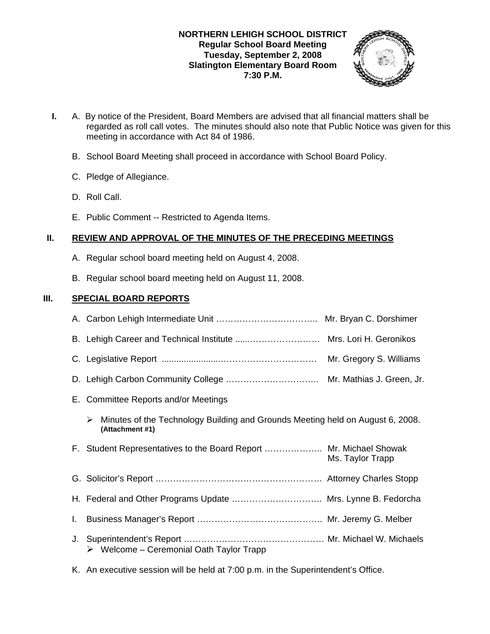### **NORTHERN LEHIGH SCHOOL DISTRICT Regular School Board Meeting Tuesday, September 2, 2008 Slatington Elementary Board Room 7:30 P.M.**



- **I.** A. By notice of the President, Board Members are advised that all financial matters shall be regarded as roll call votes. The minutes should also note that Public Notice was given for this meeting in accordance with Act 84 of 1986.
	- B. School Board Meeting shall proceed in accordance with School Board Policy.
	- C. Pledge of Allegiance.
	- D. Roll Call.
	- E. Public Comment -- Restricted to Agenda Items.

### **II. REVIEW AND APPROVAL OF THE MINUTES OF THE PRECEDING MEETINGS**

- A. Regular school board meeting held on August 4, 2008.
- B. Regular school board meeting held on August 11, 2008.

### **III. SPECIAL BOARD REPORTS**

|    | E. Committee Reports and/or Meetings                                                                   |                  |
|----|--------------------------------------------------------------------------------------------------------|------------------|
|    | Minutes of the Technology Building and Grounds Meeting held on August 6, 2008.<br>➤<br>(Attachment #1) |                  |
|    | F. Student Representatives to the Board Report  Mr. Michael Showak                                     | Ms. Taylor Trapp |
|    |                                                                                                        |                  |
|    | H. Federal and Other Programs Update  Mrs. Lynne B. Fedorcha                                           |                  |
| I. |                                                                                                        |                  |
| J. | $\triangleright$ Welcome - Ceremonial Oath Taylor Trapp                                                |                  |

K. An executive session will be held at 7:00 p.m. in the Superintendent's Office.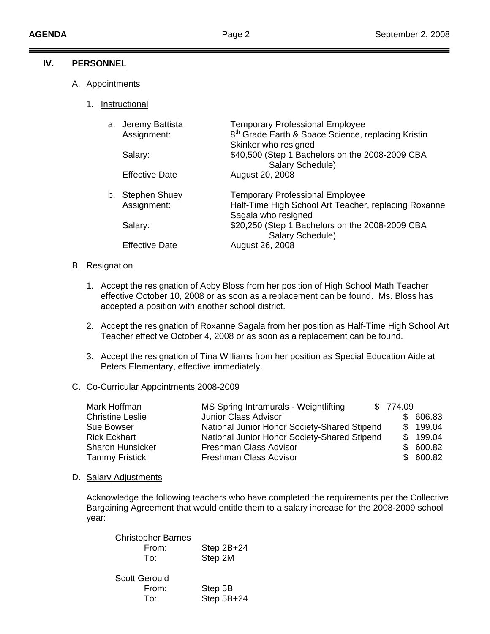### **IV. PERSONNEL**

- A. Appointments
	- 1. Instructional

| a. Jeremy Battista<br>Assignment: | <b>Temporary Professional Employee</b><br>8 <sup>th</sup> Grade Earth & Space Science, replacing Kristin<br>Skinker who resigned |
|-----------------------------------|----------------------------------------------------------------------------------------------------------------------------------|
| Salary:                           | \$40,500 (Step 1 Bachelors on the 2008-2009 CBA<br>Salary Schedule)                                                              |
| <b>Effective Date</b>             | August 20, 2008                                                                                                                  |
| b. Stephen Shuey                  | <b>Temporary Professional Employee</b>                                                                                           |
| Assignment:                       | Half-Time High School Art Teacher, replacing Roxanne<br>Sagala who resigned                                                      |
| Salary:                           | \$20,250 (Step 1 Bachelors on the 2008-2009 CBA<br>Salary Schedule)                                                              |
| <b>Effective Date</b>             | August 26, 2008                                                                                                                  |

#### B. Resignation

- 1. Accept the resignation of Abby Bloss from her position of High School Math Teacher effective October 10, 2008 or as soon as a replacement can be found. Ms. Bloss has accepted a position with another school district.
- 2. Accept the resignation of Roxanne Sagala from her position as Half-Time High School Art Teacher effective October 4, 2008 or as soon as a replacement can be found.
- 3. Accept the resignation of Tina Williams from her position as Special Education Aide at Peters Elementary, effective immediately.

### C. Co-Curricular Appointments 2008-2009

| Mark Hoffman            | MS Spring Intramurals - Weightlifting        | \$774.09 |          |
|-------------------------|----------------------------------------------|----------|----------|
| <b>Christine Leslie</b> | Junior Class Advisor                         |          | \$606.83 |
| Sue Bowser              | National Junior Honor Society-Shared Stipend |          | \$199.04 |
| <b>Rick Eckhart</b>     | National Junior Honor Society-Shared Stipend |          | \$199.04 |
| <b>Sharon Hunsicker</b> | Freshman Class Advisor                       | SS.      | 600.82   |
| <b>Tammy Fristick</b>   | Freshman Class Advisor                       |          | \$600.82 |

#### D. Salary Adjustments

 Acknowledge the following teachers who have completed the requirements per the Collective Bargaining Agreement that would entitle them to a salary increase for the 2008-2009 school year:

| <b>Christopher Barnes</b> |              |
|---------------------------|--------------|
| From:                     | Step $2B+24$ |
| To:                       | Step 2M      |
|                           |              |

| <b>Scott Gerould</b> |              |
|----------------------|--------------|
| From:                | Step 5B      |
| To:                  | Step $5B+24$ |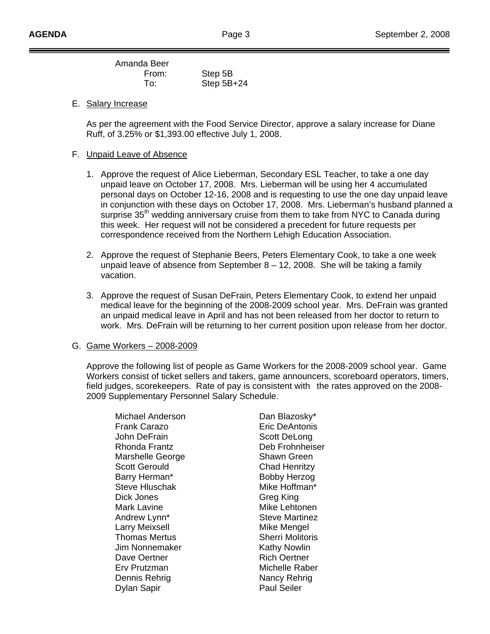Amanda Beer From: Step 5B To: Step 5B+24

E. Salary Increase

 As per the agreement with the Food Service Director, approve a salary increase for Diane Ruff, of 3.25% or \$1,393.00 effective July 1, 2008.

#### F. Unpaid Leave of Absence

- 1. Approve the request of Alice Lieberman, Secondary ESL Teacher, to take a one day unpaid leave on October 17, 2008. Mrs. Lieberman will be using her 4 accumulated personal days on October 12-16, 2008 and is requesting to use the one day unpaid leave in conjunction with these days on October 17, 2008. Mrs. Lieberman's husband planned a surprise 35<sup>th</sup> wedding anniversary cruise from them to take from NYC to Canada during this week. Her request will not be considered a precedent for future requests per correspondence received from the Northern Lehigh Education Association.
- 2. Approve the request of Stephanie Beers, Peters Elementary Cook, to take a one week unpaid leave of absence from September  $8 - 12$ , 2008. She will be taking a family vacation.
- 3. Approve the request of Susan DeFrain, Peters Elementary Cook, to extend her unpaid medical leave for the beginning of the 2008-2009 school year. Mrs. DeFrain was granted an unpaid medical leave in April and has not been released from her doctor to return to work. Mrs. DeFrain will be returning to her current position upon release from her doctor.

#### G. Game Workers – 2008-2009

 Approve the following list of people as Game Workers for the 2008-2009 school year. Game Workers consist of ticket sellers and takers, game announcers, scoreboard operators, timers, field judges, scorekeepers. Rate of pay is consistent with the rates approved on the 2008- 2009 Supplementary Personnel Salary Schedule.

Michael Anderson Dan Blazosky\* Frank Carazo Eric DeAntonis John DeFrain Scott DeLong Rhonda Frantz **Deb Frohnheiser** Marshelle George Shawn Green Scott Gerould Chad Henritzy Barry Herman\* Bobby Herzog Steve Hluschak Mike Hoffman\* Dick Jones Greg King Mark Lavine **Mike Lehtonen** Andrew Lynn<sup>\*</sup> Steve Martinez Larry Meixsell **Mike Mengel** Thomas Mertus **Sherri Molitoris** Jim Nonnemaker Kathy Nowlin Dave Oertner **Rich Oertner** Erv Prutzman Michelle Raber Dennis Rehrig Nancy Rehrig Nancy Rehrig Dylan Sapir **Paul Seiler**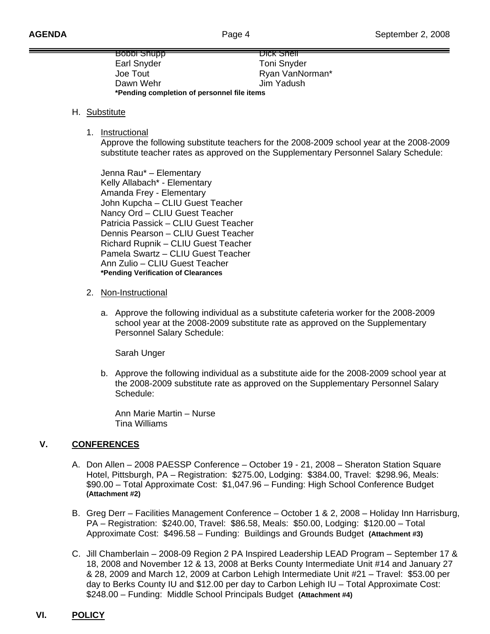| <del>qqunc iadoa</del>                      | <del>DICK Shell</del> |
|---------------------------------------------|-----------------------|
| Earl Snyder                                 | <b>Toni Snyder</b>    |
| Joe Tout                                    | Ryan VanNorman*       |
| Dawn Wehr                                   | Jim Yadush            |
| *Pending completion of personnel file items |                       |

#### H. Substitute

1. Instructional

 Approve the following substitute teachers for the 2008-2009 school year at the 2008-2009 substitute teacher rates as approved on the Supplementary Personnel Salary Schedule:

Jenna Rau\* – Elementary Kelly Allabach\* - Elementary Amanda Frey - Elementary John Kupcha – CLIU Guest Teacher Nancy Ord – CLIU Guest Teacher Patricia Passick – CLIU Guest Teacher Dennis Pearson – CLIU Guest Teacher Richard Rupnik – CLIU Guest Teacher Pamela Swartz – CLIU Guest Teacher Ann Zulio – CLIU Guest Teacher **\*Pending Verification of Clearances**

- 2. Non-Instructional
	- a. Approve the following individual as a substitute cafeteria worker for the 2008-2009 school year at the 2008-2009 substitute rate as approved on the Supplementary Personnel Salary Schedule:

Sarah Unger

b. Approve the following individual as a substitute aide for the 2008-2009 school year at the 2008-2009 substitute rate as approved on the Supplementary Personnel Salary Schedule:

 Ann Marie Martin – Nurse Tina Williams

### **V. CONFERENCES**

- A. Don Allen 2008 PAESSP Conference October 19 21, 2008 Sheraton Station Square Hotel, Pittsburgh, PA – Registration: \$275.00, Lodging: \$384.00, Travel: \$298.96, Meals: \$90.00 – Total Approximate Cost: \$1,047.96 – Funding: High School Conference Budget **(Attachment #2)**
- B. Greg Derr Facilities Management Conference October 1 & 2, 2008 Holiday Inn Harrisburg, PA – Registration: \$240.00, Travel: \$86.58, Meals: \$50.00, Lodging: \$120.00 – Total Approximate Cost: \$496.58 – Funding: Buildings and Grounds Budget **(Attachment #3)**
- C. Jill Chamberlain 2008-09 Region 2 PA Inspired Leadership LEAD Program September 17 & 18, 2008 and November 12 & 13, 2008 at Berks County Intermediate Unit #14 and January 27 & 28, 2009 and March 12, 2009 at Carbon Lehigh Intermediate Unit #21 – Travel: \$53.00 per day to Berks County IU and \$12.00 per day to Carbon Lehigh IU – Total Approximate Cost: \$248.00 – Funding: Middle School Principals Budget **(Attachment #4)**

# **VI. POLICY**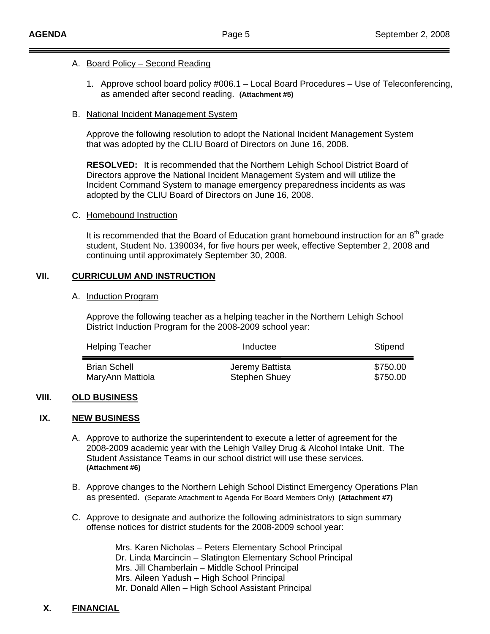#### A. Board Policy – Second Reading

1. Approve school board policy #006.1 – Local Board Procedures – Use of Teleconferencing, as amended after second reading. **(Attachment #5)**

#### B. National Incident Management System

 Approve the following resolution to adopt the National Incident Management System that was adopted by the CLIU Board of Directors on June 16, 2008.

 **RESOLVED:** It is recommended that the Northern Lehigh School District Board of Directors approve the National Incident Management System and will utilize the Incident Command System to manage emergency preparedness incidents as was adopted by the CLIU Board of Directors on June 16, 2008.

### C. Homebound Instruction

It is recommended that the Board of Education grant homebound instruction for an  $8<sup>th</sup>$  grade student, Student No. 1390034, for five hours per week, effective September 2, 2008 and continuing until approximately September 30, 2008.

### **VII. CURRICULUM AND INSTRUCTION**

#### A. Induction Program

 Approve the following teacher as a helping teacher in the Northern Lehigh School District Induction Program for the 2008-2009 school year:

| <b>Helping Teacher</b> | Inductee             | Stipend  |
|------------------------|----------------------|----------|
| <b>Brian Schell</b>    | Jeremy Battista      | \$750.00 |
| MaryAnn Mattiola       | <b>Stephen Shuey</b> | \$750.00 |

### **VIII. OLD BUSINESS**

### **IX. NEW BUSINESS**

- A. Approve to authorize the superintendent to execute a letter of agreement for the 2008-2009 academic year with the Lehigh Valley Drug & Alcohol Intake Unit. The Student Assistance Teams in our school district will use these services. **(Attachment #6)**
- B. Approve changes to the Northern Lehigh School Distinct Emergency Operations Plan as presented. (Separate Attachment to Agenda For Board Members Only) **(Attachment #7)**
- C. Approve to designate and authorize the following administrators to sign summary offense notices for district students for the 2008-2009 school year:

 Mrs. Karen Nicholas – Peters Elementary School Principal Dr. Linda Marcincin – Slatington Elementary School Principal Mrs. Jill Chamberlain – Middle School Principal Mrs. Aileen Yadush – High School Principal Mr. Donald Allen – High School Assistant Principal

## **X. FINANCIAL**